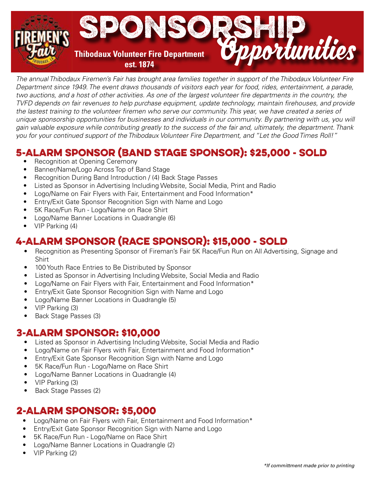

*The annual Thibodaux Firemen's Fair has brought area families together in support of the Thibodaux Volunteer Fire Department since 1949. The event draws thousands of visitors each year for food, rides, entertainment, a parade, two auctions, and a host of other activities. As one of the largest volunteer fire departments in the country, the TVFD depends on fair revenues to help purchase equipment, update technology, maintain firehouses, and provide the lastest training to the volunteer firemen who serve our community. This year, we have created a series of unique sponsorship opportunities for businesses and individuals in our community. By partnering with us, you will gain valuable exposure while contributing greatly to the success of the fair and, ultimately, the department. Thank you for your continued support of the Thibodaux Volunteer Fire Department, and "Let the Good Times Roll!"*

# **5-ALARM SPONSOR (BAND STAGE SPONSOR): \$25,000 - SOLD**<br>• Recognition at Opening Ceremony

- Recognition at Opening Ceremony
- Banner/Name/Logo Across Top of Band Stage
- Recognition During Band Introduction / (4) Back Stage Passes
- Listed as Sponsor in Advertising Including Website, Social Media, Print and Radio
- Logo/Name on Fair Flyers with Fair, Entertainment and Food Information\*
- Entry/Exit Gate Sponsor Recognition Sign with Name and Logo
- 5K Race/Fun Run Logo/Name on Race Shirt
- Logo/Name Banner Locations in Quadrangle (6)
- VIP Parking (4)

## **4-Alarm Sponsor (Race Sponsor): \$15,000 - Sold**

- Recognition as Presenting Sponsor of Fireman's Fair 5K Race/Fun Run on All Advertising, Signage and Shirt
- 100 Youth Race Entries to Be Distributed by Sponsor
- Listed as Sponsor in Advertising Including Website, Social Media and Radio
- Logo/Name on Fair Flyers with Fair, Entertainment and Food Information\*
- Entry/Exit Gate Sponsor Recognition Sign with Name and Logo
- Logo/Name Banner Locations in Quadrangle (5)
- VIP Parking (3)
- Back Stage Passes (3)

### **3-Alarm Sponsor: \$10,000**

- Listed as Sponsor in Advertising Including Website, Social Media and Radio
- Logo/Name on Fair Flyers with Fair, Entertainment and Food Information\*
- Entry/Exit Gate Sponsor Recognition Sign with Name and Logo
- 5K Race/Fun Run Logo/Name on Race Shirt
- Logo/Name Banner Locations in Quadrangle (4)
- VIP Parking (3)
- Back Stage Passes (2)

## **2-Alarm Sponsor: \$5,000**

- Logo/Name on Fair Flyers with Fair, Entertainment and Food Information\*
- Entry/Exit Gate Sponsor Recognition Sign with Name and Logo
- 5K Race/Fun Run Logo/Name on Race Shirt
- Logo/Name Banner Locations in Quadrangle (2)
- VIP Parking (2)